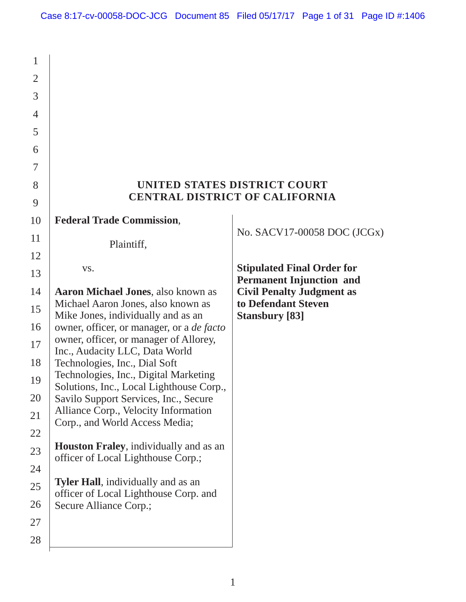| $\mathbf{1}$   |                                                                                      |                                                                      |
|----------------|--------------------------------------------------------------------------------------|----------------------------------------------------------------------|
| $\overline{2}$ |                                                                                      |                                                                      |
| 3              |                                                                                      |                                                                      |
| $\overline{4}$ |                                                                                      |                                                                      |
| 5              |                                                                                      |                                                                      |
| 6              |                                                                                      |                                                                      |
| 7              |                                                                                      |                                                                      |
| 8              |                                                                                      | UNITED STATES DISTRICT COURT                                         |
| 9              |                                                                                      | <b>CENTRAL DISTRICT OF CALIFORNIA</b>                                |
| 10             | <b>Federal Trade Commission,</b>                                                     |                                                                      |
| 11             | Plaintiff,                                                                           | No. SACV17-00058 DOC (JCGx)                                          |
| 12             |                                                                                      |                                                                      |
| 13             | VS.                                                                                  | <b>Stipulated Final Order for</b><br><b>Permanent Injunction and</b> |
| 14             | <b>Aaron Michael Jones</b> , also known as                                           | <b>Civil Penalty Judgment as</b>                                     |
| 15             | Michael Aaron Jones, also known as<br>Mike Jones, individually and as an             | to Defendant Steven<br><b>Stansbury</b> [83]                         |
| 16             | owner, officer, or manager, or a <i>de facto</i>                                     |                                                                      |
| 17             | owner, officer, or manager of Allorey,<br>Inc., Audacity LLC, Data World             |                                                                      |
| 18             | Technologies, Inc., Dial Soft                                                        |                                                                      |
| 19             | Technologies, Inc., Digital Marketing<br>Solutions, Inc., Local Lighthouse Corp.,    |                                                                      |
| 20             | Savilo Support Services, Inc., Secure                                                |                                                                      |
| 21             | Alliance Corp., Velocity Information<br>Corp., and World Access Media;               |                                                                      |
| 22             |                                                                                      |                                                                      |
| 23             | <b>Houston Fraley</b> , individually and as an<br>officer of Local Lighthouse Corp.; |                                                                      |
| 24             |                                                                                      |                                                                      |
| 25             | <b>Tyler Hall</b> , individually and as an<br>officer of Local Lighthouse Corp. and  |                                                                      |
| 26             | Secure Alliance Corp.;                                                               |                                                                      |
| 27             |                                                                                      |                                                                      |
| 28             |                                                                                      |                                                                      |
|                |                                                                                      |                                                                      |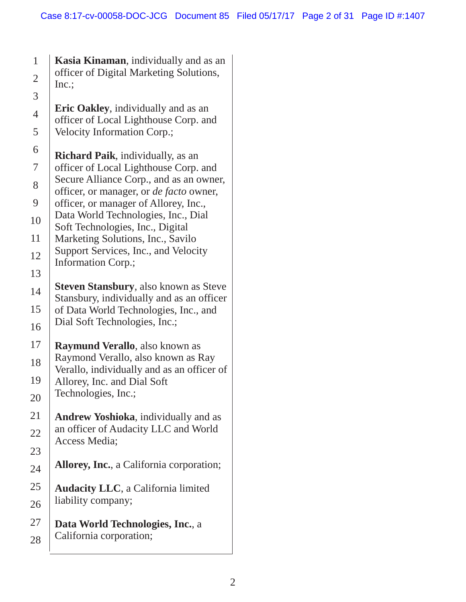| $\mathbf{1}$   | Kasia Kinaman, individually and as an                                                      |
|----------------|--------------------------------------------------------------------------------------------|
| $\overline{2}$ | officer of Digital Marketing Solutions,<br>Inc.;                                           |
| 3              |                                                                                            |
| $\overline{4}$ | Eric Oakley, individually and as an<br>officer of Local Lighthouse Corp. and               |
| 5              | <b>Velocity Information Corp.;</b>                                                         |
| 6              | <b>Richard Paik</b> , individually, as an                                                  |
| $\overline{7}$ | officer of Local Lighthouse Corp. and                                                      |
| 8              | Secure Alliance Corp., and as an owner,<br>officer, or manager, or <i>de facto</i> owner,  |
| 9              | officer, or manager of Allorey, Inc.,                                                      |
| 10             | Data World Technologies, Inc., Dial<br>Soft Technologies, Inc., Digital                    |
| 11             | Marketing Solutions, Inc., Savilo                                                          |
| 12             | Support Services, Inc., and Velocity<br>Information Corp.;                                 |
| 13             |                                                                                            |
| 14             | <b>Steven Stansbury</b> , also known as Steve<br>Stansbury, individually and as an officer |
| 15             | of Data World Technologies, Inc., and                                                      |
| 16             | Dial Soft Technologies, Inc.;                                                              |
| 17             | <b>Raymund Verallo</b> , also known as                                                     |
| 18             | Raymond Verallo, also known as Ray<br>Verallo, individually and as an officer of           |
| 19             | Allorey, Inc. and Dial Soft                                                                |
| 20             | Technologies, Inc.;                                                                        |
| 21             | <b>Andrew Yoshioka</b> , individually and as                                               |
| 22             | an officer of Audacity LLC and World<br><b>Access Media;</b>                               |
| 23             |                                                                                            |
| 24             | Allorey, Inc., a California corporation;                                                   |
| 25             | <b>Audacity LLC</b> , a California limited                                                 |
| 26             | liability company;                                                                         |
| 27             | Data World Technologies, Inc., a                                                           |
| 28             | California corporation;                                                                    |

| <b>Eric Oakley</b> , individually and as an<br>officer of Local Lighthouse Corp. and<br>Velocity Information Corp.;                                                                                                                                                                                                                                                                                                  |
|----------------------------------------------------------------------------------------------------------------------------------------------------------------------------------------------------------------------------------------------------------------------------------------------------------------------------------------------------------------------------------------------------------------------|
| <b>Richard Paik</b> , individually, as an<br>officer of Local Lighthouse Corp. and<br>Secure Alliance Corp., and as an owner,<br>officer, or manager, or <i>de facto</i> owner,<br>officer, or manager of Allorey, Inc.,<br>Data World Technologies, Inc., Dial<br>Soft Technologies, Inc., Digital<br><b>Marketing Solutions, Inc., Savilo</b><br>Support Services, Inc., and Velocity<br><b>Information Corp.;</b> |
| <b>Steven Stansbury</b> , also known as Steve<br>Stansbury, individually and as an officer<br>of Data World Technologies, Inc., and<br>Dial Soft Technologies, Inc.;                                                                                                                                                                                                                                                 |
| Raymund Verallo, also known as<br>Raymond Verallo, also known as Ray<br>Verallo, individually and as an officer of<br>Allorey, Inc. and Dial Soft<br>Technologies, Inc.;                                                                                                                                                                                                                                             |
| Andrew Yoshioka, individually and as<br>an officer of Audacity LLC and World<br>Access Media;                                                                                                                                                                                                                                                                                                                        |
| Allorey, Inc., a California corporation;                                                                                                                                                                                                                                                                                                                                                                             |
| <b>Audacity LLC</b> , a California limited<br>liability company;                                                                                                                                                                                                                                                                                                                                                     |
| Data World Technologies, Inc., a<br>California corporation;                                                                                                                                                                                                                                                                                                                                                          |
|                                                                                                                                                                                                                                                                                                                                                                                                                      |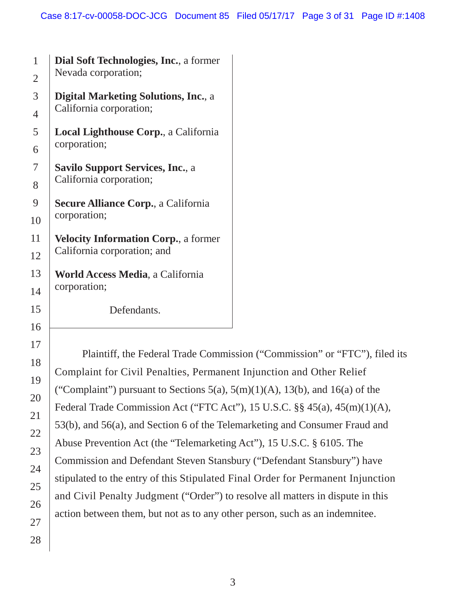| 1              | Dial Soft Technologies, Inc., a former                             |  |  |  |
|----------------|--------------------------------------------------------------------|--|--|--|
| $\overline{2}$ | Nevada corporation;                                                |  |  |  |
| 3              | <b>Digital Marketing Solutions, Inc., a</b>                        |  |  |  |
| 4              | California corporation;                                            |  |  |  |
| 5              | <b>Local Lighthouse Corp., a California</b><br>corporation;        |  |  |  |
| 6              |                                                                    |  |  |  |
| 7              | <b>Savilo Support Services, Inc., a</b><br>California corporation; |  |  |  |
| 8              |                                                                    |  |  |  |
| 9              | <b>Secure Alliance Corp., a California</b>                         |  |  |  |
| $\overline{0}$ | corporation;                                                       |  |  |  |
| $\overline{1}$ | <b>Velocity Information Corp., a former</b>                        |  |  |  |
| $\overline{2}$ | California corporation; and                                        |  |  |  |
| $\overline{3}$ | <b>World Access Media, a California</b>                            |  |  |  |
| 4              | corporation;                                                       |  |  |  |
|                |                                                                    |  |  |  |

Defendants.

 stipulated to the entry of this Stipulated Final Order for Permanent Injunction and Civil Penalty Judgment ("Order") to resolve all matters in dispute in this Plaintiff, the Federal Trade Commission ("Commission" or "FTC"), filed its Complaint for Civil Penalties, Permanent Injunction and Other Relief ("Complaint") pursuant to Sections  $5(a)$ ,  $5(m)(1)(A)$ ,  $13(b)$ , and  $16(a)$  of the Federal Trade Commission Act ("FTC Act"), 15 U.S.C. §§ 45(a), 45(m)(1)(A), 53(b), and 56(a), and Section 6 of the Telemarketing and Consumer Fraud and Abuse Prevention Act (the "Telemarketing Act"), 15 U.S.C. § 6105. The Commission and Defendant Steven Stansbury ("Defendant Stansbury") have action between them, but not as to any other person, such as an indemnitee.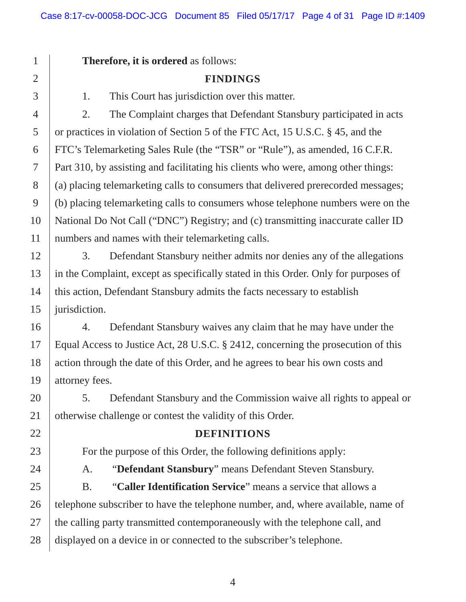**Therefore, it is ordered** as follows:

# **FINDINGS**

1. This Court has jurisdiction over this matter.

2. The Complaint charges that Defendant Stansbury participated in acts or practices in violation of Section 5 of the FTC Act, 15 U.S.C. § 45, and the FTC's Telemarketing Sales Rule (the "TSR" or "Rule"), as amended, 16 C.F.R. Part 310, by assisting and facilitating his clients who were, among other things: (a) placing telemarketing calls to consumers that delivered prerecorded messages; (b) placing telemarketing calls to consumers whose telephone numbers were on the National Do Not Call ("DNC") Registry; and (c) transmitting inaccurate caller ID numbers and names with their telemarketing calls.

3. Defendant Stansbury neither admits nor denies any of the allegations in the Complaint, except as specifically stated in this Order. Only for purposes of this action, Defendant Stansbury admits the facts necessary to establish jurisdiction.

4. Defendant Stansbury waives any claim that he may have under the Equal Access to Justice Act, 28 U.S.C. § 2412, concerning the prosecution of this action through the date of this Order, and he agrees to bear his own costs and attorney fees.

5. Defendant Stansbury and the Commission waive all rights to appeal or otherwise challenge or contest the validity of this Order.

# **DEFINITIONS**

1

2

3

4

5

6

7

8

9

10

11

12

13

14

15

16

17

18

19

20

21

22

23

24

27

"Defendant Stansbury" means Defendant Steven Stansbury. For the purpose of this Order, the following definitions apply:

25 26 28 A. "**Defendant Stansbury**" means Defendant Steven Stansbury. B. "**Caller Identification Service**" means a service that allows a telephone subscriber to have the telephone number, and, where available, name of the calling party transmitted contemporaneously with the telephone call, and displayed on a device in or connected to the subscriber's telephone.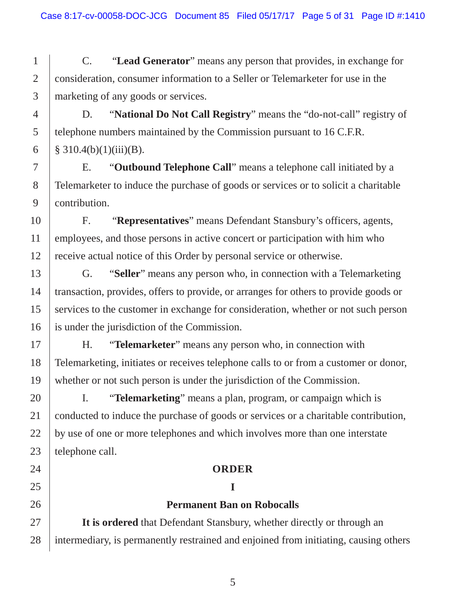C. "**Lead Generator**" means any person that provides, in exchange for consideration, consumer information to a Seller or Telemarketer for use in the marketing of any goods or services.

D. "**National Do Not Call Registry**" means the "do-not-call" registry of telephone numbers maintained by the Commission pursuant to 16 C.F.R.  $§ 310.4(b)(1)(iii)(B).$ 

E. "**Outbound Telephone Call**" means a telephone call initiated by a Telemarketer to induce the purchase of goods or services or to solicit a charitable contribution.

 receive actual notice of this Order by personal service or otherwise. F. "**Representatives**" means Defendant Stansbury's officers, agents, employees, and those persons in active concert or participation with him who

 transaction, provides, offers to provide, or arranges for others to provide goods or G. "**Seller**" means any person who, in connection with a Telemarketing services to the customer in exchange for consideration, whether or not such person is under the jurisdiction of the Commission.

H. "**Telemarketer**" means any person who, in connection with Telemarketing, initiates or receives telephone calls to or from a customer or donor, whether or not such person is under the jurisdiction of the Commission.

I. "**Telemarketing**" means a plan, program, or campaign which is conducted to induce the purchase of goods or services or a charitable contribution, by use of one or more telephones and which involves more than one interstate telephone call.

# **ORDER**

# **I**

# **Permanent Ban on Robocalls**

**It is ordered** that Defendant Stansbury, whether directly or through an intermediary, is permanently restrained and enjoined from initiating, causing others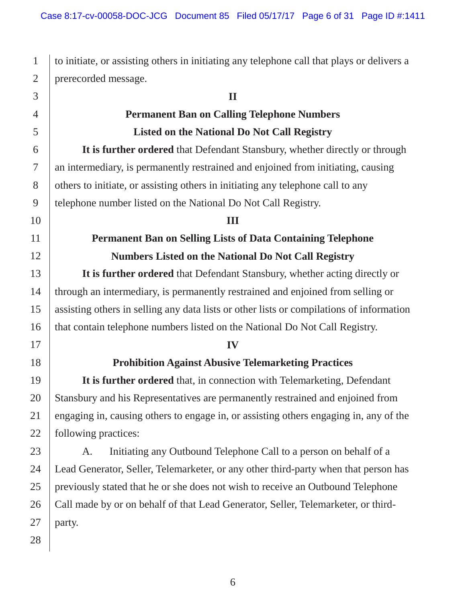to initiate, or assisting others in initiating any telephone call that plays or delivers a prerecorded message.

| $\mathbf{I}$                                                                             |
|------------------------------------------------------------------------------------------|
| <b>Permanent Ban on Calling Telephone Numbers</b>                                        |
| <b>Listed on the National Do Not Call Registry</b>                                       |
| It is further ordered that Defendant Stansbury, whether directly or through              |
| an intermediary, is permanently restrained and enjoined from initiating, causing         |
| others to initiate, or assisting others in initiating any telephone call to any          |
| telephone number listed on the National Do Not Call Registry.                            |
| Ш                                                                                        |
| <b>Permanent Ban on Selling Lists of Data Containing Telephone</b>                       |
| <b>Numbers Listed on the National Do Not Call Registry</b>                               |
| It is further ordered that Defendant Stansbury, whether acting directly or               |
| through an intermediary, is permanently restrained and enjoined from selling or          |
| assisting others in selling any data lists or other lists or compilations of information |
| that contain telephone numbers listed on the National Do Not Call Registry.              |
| IV                                                                                       |
| <b>Prohibition Against Abusive Telemarketing Practices</b>                               |
| It is further ordered that, in connection with Telemarketing, Defendant                  |
| Stansbury and his Representatives are permanently restrained and enjoined from           |
| engaging in, causing others to engage in, or assisting others engaging in, any of the    |
| following practices:                                                                     |
| Initiating any Outbound Telephone Call to a person on behalf of a<br>A.                  |
| Lead Generator, Seller, Telemarketer, or any other third-party when that person has      |
| previously stated that he or she does not wish to receive an Outbound Telephone          |
| Call made by or on behalf of that Lead Generator, Seller, Telemarketer, or third-        |
| party.                                                                                   |
|                                                                                          |
|                                                                                          |
| 6                                                                                        |
|                                                                                          |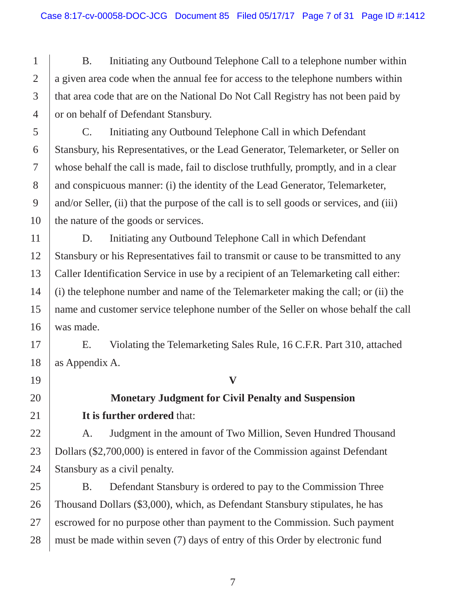B. Initiating any Outbound Telephone Call to a telephone number within a given area code when the annual fee for access to the telephone numbers within that area code that are on the National Do Not Call Registry has not been paid by or on behalf of Defendant Stansbury.

 whose behalf the call is made, fail to disclose truthfully, promptly, and in a clear C. Initiating any Outbound Telephone Call in which Defendant Stansbury, his Representatives, or the Lead Generator, Telemarketer, or Seller on and conspicuous manner: (i) the identity of the Lead Generator, Telemarketer, and/or Seller, (ii) that the purpose of the call is to sell goods or services, and (iii) the nature of the goods or services.

D. Initiating any Outbound Telephone Call in which Defendant Stansbury or his Representatives fail to transmit or cause to be transmitted to any Caller Identification Service in use by a recipient of an Telemarketing call either: (i) the telephone number and name of the Telemarketer making the call; or (ii) the name and customer service telephone number of the Seller on whose behalf the call was made.

 E. Violating the Telemarketing Sales Rule, 16 C.F.R. Part 310, attached as Appendix A.

**V** 

# **Monetary Judgment for Civil Penalty and Suspension It is further ordered** that:

A. Judgment in the amount of Two Million, Seven Hundred Thousand Dollars (\$2,700,000) is entered in favor of the Commission against Defendant Stansbury as a civil penalty.

28 B. Defendant Stansbury is ordered to pay to the Commission Three Thousand Dollars (\$3,000), which, as Defendant Stansbury stipulates, he has escrowed for no purpose other than payment to the Commission. Such payment must be made within seven (7) days of entry of this Order by electronic fund

1

2

3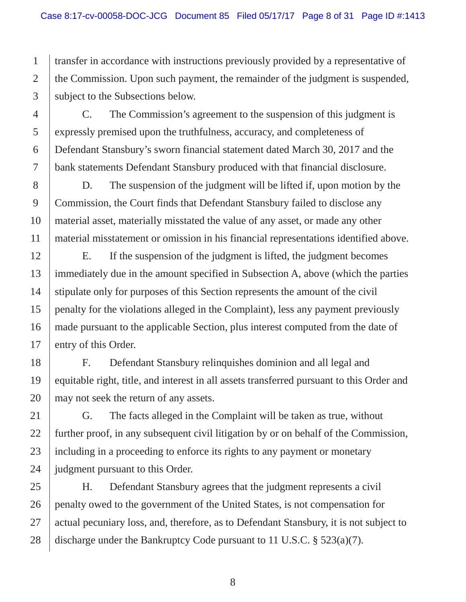transfer in accordance with instructions previously provided by a representative of the Commission. Upon such payment, the remainder of the judgment is suspended, subject to the Subsections below.

C. The Commission's agreement to the suspension of this judgment is expressly premised upon the truthfulness, accuracy, and completeness of Defendant Stansbury's sworn financial statement dated March 30, 2017 and the bank statements Defendant Stansbury produced with that financial disclosure.

 Commission, the Court finds that Defendant Stansbury failed to disclose any material asset, materially misstated the value of any asset, or made any other D. The suspension of the judgment will be lifted if, upon motion by the material misstatement or omission in his financial representations identified above.

 stipulate only for purposes of this Section represents the amount of the civil made pursuant to the applicable Section, plus interest computed from the date of E. If the suspension of the judgment is lifted, the judgment becomes immediately due in the amount specified in Subsection A, above (which the parties penalty for the violations alleged in the Complaint), less any payment previously entry of this Order.

F. Defendant Stansbury relinquishes dominion and all legal and equitable right, title, and interest in all assets transferred pursuant to this Order and may not seek the return of any assets.

 including in a proceeding to enforce its rights to any payment or monetary G. The facts alleged in the Complaint will be taken as true, without further proof, in any subsequent civil litigation by or on behalf of the Commission, judgment pursuant to this Order.

 discharge under the Bankruptcy Code pursuant to 11 U.S.C. § 523(a)(7). H. Defendant Stansbury agrees that the judgment represents a civil penalty owed to the government of the United States, is not compensation for actual pecuniary loss, and, therefore, as to Defendant Stansbury, it is not subject to

1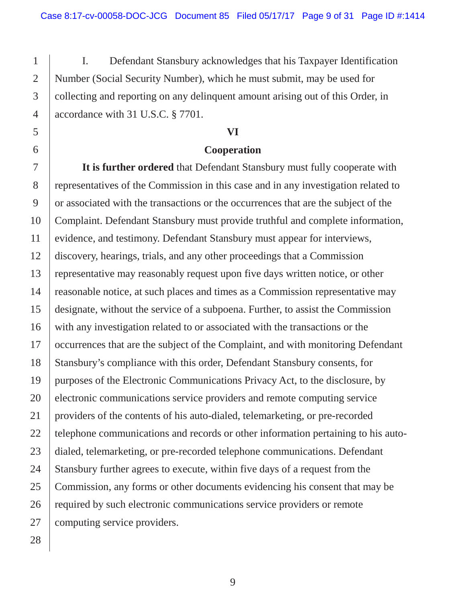Number (Social Security Number), which he must submit, may be used for I. Defendant Stansbury acknowledges that his Taxpayer Identification collecting and reporting on any delinquent amount arising out of this Order, in accordance with 31 U.S.C. § 7701.

### **VI**

### **Cooperation**

 with any investigation related to or associated with the transactions or the **It is further ordered** that Defendant Stansbury must fully cooperate with representatives of the Commission in this case and in any investigation related to or associated with the transactions or the occurrences that are the subject of the Complaint. Defendant Stansbury must provide truthful and complete information, evidence, and testimony. Defendant Stansbury must appear for interviews, discovery, hearings, trials, and any other proceedings that a Commission representative may reasonably request upon five days written notice, or other reasonable notice, at such places and times as a Commission representative may designate, without the service of a subpoena. Further, to assist the Commission occurrences that are the subject of the Complaint, and with monitoring Defendant Stansbury's compliance with this order, Defendant Stansbury consents, for purposes of the Electronic Communications Privacy Act, to the disclosure, by electronic communications service providers and remote computing service providers of the contents of his auto-dialed, telemarketing, or pre-recorded telephone communications and records or other information pertaining to his autodialed, telemarketing, or pre-recorded telephone communications. Defendant Stansbury further agrees to execute, within five days of a request from the Commission, any forms or other documents evidencing his consent that may be required by such electronic communications service providers or remote computing service providers.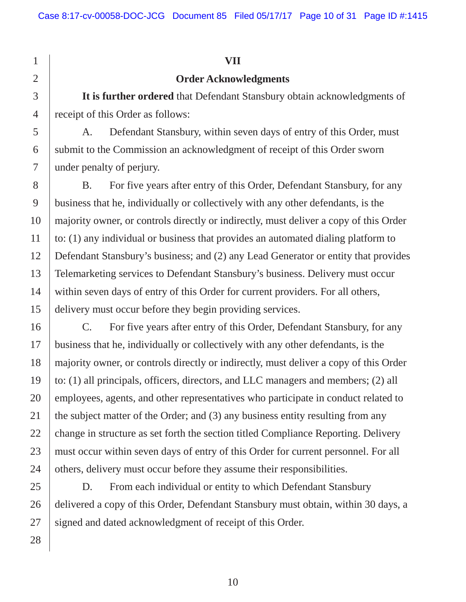### **VII**

### **Order Acknowledgments**

**It is further ordered** that Defendant Stansbury obtain acknowledgments of receipt of this Order as follows:

 A. Defendant Stansbury, within seven days of entry of this Order, must submit to the Commission an acknowledgment of receipt of this Order sworn under penalty of perjury.

 Defendant Stansbury's business; and (2) any Lead Generator or entity that provides B. For five years after entry of this Order, Defendant Stansbury, for any business that he, individually or collectively with any other defendants, is the majority owner, or controls directly or indirectly, must deliver a copy of this Order to: (1) any individual or business that provides an automated dialing platform to Telemarketing services to Defendant Stansbury's business. Delivery must occur within seven days of entry of this Order for current providers. For all others, delivery must occur before they begin providing services.

C. For five years after entry of this Order, Defendant Stansbury, for any business that he, individually or collectively with any other defendants, is the majority owner, or controls directly or indirectly, must deliver a copy of this Order to: (1) all principals, officers, directors, and LLC managers and members; (2) all employees, agents, and other representatives who participate in conduct related to the subject matter of the Order; and (3) any business entity resulting from any change in structure as set forth the section titled Compliance Reporting. Delivery must occur within seven days of entry of this Order for current personnel. For all others, delivery must occur before they assume their responsibilities.

D. From each individual or entity to which Defendant Stansbury delivered a copy of this Order, Defendant Stansbury must obtain, within 30 days, a signed and dated acknowledgment of receipt of this Order.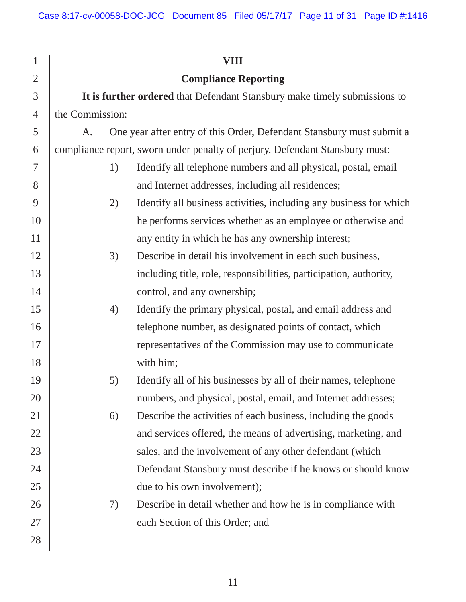| $\mathbf{1}$   |                                                                              | VIII                                                                  |  |
|----------------|------------------------------------------------------------------------------|-----------------------------------------------------------------------|--|
| $\overline{2}$ | <b>Compliance Reporting</b>                                                  |                                                                       |  |
| 3              | It is further ordered that Defendant Stansbury make timely submissions to    |                                                                       |  |
| $\overline{4}$ | the Commission:                                                              |                                                                       |  |
| 5              | A.                                                                           | One year after entry of this Order, Defendant Stansbury must submit a |  |
| 6              | compliance report, sworn under penalty of perjury. Defendant Stansbury must: |                                                                       |  |
| 7              | 1)                                                                           | Identify all telephone numbers and all physical, postal, email        |  |
| 8              |                                                                              | and Internet addresses, including all residences;                     |  |
| 9              | 2)                                                                           | Identify all business activities, including any business for which    |  |
| 10             |                                                                              | he performs services whether as an employee or otherwise and          |  |
| 11             |                                                                              | any entity in which he has any ownership interest;                    |  |
| 12             | 3)                                                                           | Describe in detail his involvement in each such business,             |  |
| 13             |                                                                              | including title, role, responsibilities, participation, authority,    |  |
| 14             |                                                                              | control, and any ownership;                                           |  |
| 15             | 4)                                                                           | Identify the primary physical, postal, and email address and          |  |
| 16             |                                                                              | telephone number, as designated points of contact, which              |  |
| 17             |                                                                              | representatives of the Commission may use to communicate              |  |
| 18             |                                                                              | with him;                                                             |  |
| 19             | 5)                                                                           | Identify all of his businesses by all of their names, telephone       |  |
| 20             |                                                                              | numbers, and physical, postal, email, and Internet addresses;         |  |
| 21             | 6)                                                                           | Describe the activities of each business, including the goods         |  |
| 22             |                                                                              | and services offered, the means of advertising, marketing, and        |  |
| 23             |                                                                              | sales, and the involvement of any other defendant (which              |  |
| 24             |                                                                              | Defendant Stansbury must describe if he knows or should know          |  |
| 25             |                                                                              | due to his own involvement);                                          |  |
| 26             | 7)                                                                           | Describe in detail whether and how he is in compliance with           |  |
| 27             |                                                                              | each Section of this Order; and                                       |  |
| 28             |                                                                              |                                                                       |  |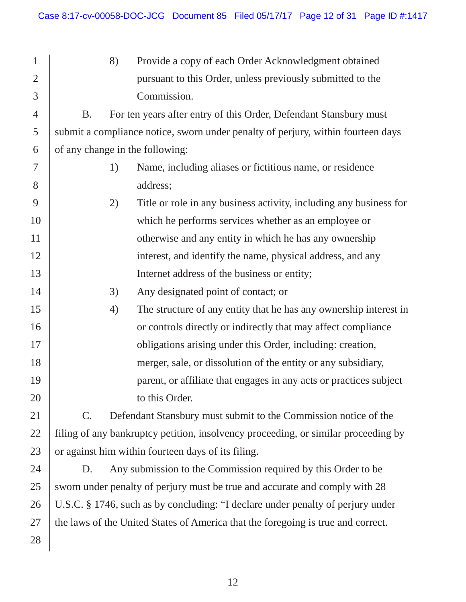| $\mathbf{1}$   |                                                                                    | 8) | Provide a copy of each Order Acknowledgment obtained                             |
|----------------|------------------------------------------------------------------------------------|----|----------------------------------------------------------------------------------|
| $\overline{2}$ |                                                                                    |    | pursuant to this Order, unless previously submitted to the                       |
| 3              |                                                                                    |    | Commission.                                                                      |
| $\overline{4}$ | <b>B.</b>                                                                          |    | For ten years after entry of this Order, Defendant Stansbury must                |
| 5              |                                                                                    |    | submit a compliance notice, sworn under penalty of perjury, within fourteen days |
| 6              | of any change in the following:                                                    |    |                                                                                  |
| 7              |                                                                                    | 1) | Name, including aliases or fictitious name, or residence                         |
| 8              |                                                                                    |    | address;                                                                         |
| 9              |                                                                                    | 2) | Title or role in any business activity, including any business for               |
| 10             |                                                                                    |    | which he performs services whether as an employee or                             |
| 11             |                                                                                    |    | otherwise and any entity in which he has any ownership                           |
| 12             |                                                                                    |    | interest, and identify the name, physical address, and any                       |
| 13             |                                                                                    |    | Internet address of the business or entity;                                      |
| 14             |                                                                                    | 3) | Any designated point of contact; or                                              |
| 15             |                                                                                    | 4) | The structure of any entity that he has any ownership interest in                |
| 16             |                                                                                    |    | or controls directly or indirectly that may affect compliance                    |
| 17             |                                                                                    |    | obligations arising under this Order, including: creation,                       |
| 18             |                                                                                    |    | merger, sale, or dissolution of the entity or any subsidiary,                    |
| 19             |                                                                                    |    | parent, or affiliate that engages in any acts or practices subject               |
| 20             |                                                                                    |    | to this Order.                                                                   |
| 21             | $\mathcal{C}$ .                                                                    |    | Defendant Stansbury must submit to the Commission notice of the                  |
| 22             | filing of any bankruptcy petition, insolvency proceeding, or similar proceeding by |    |                                                                                  |
| 23             | or against him within fourteen days of its filing.                                 |    |                                                                                  |
| 24             | D.                                                                                 |    | Any submission to the Commission required by this Order to be                    |
| 25             | sworn under penalty of perjury must be true and accurate and comply with 28        |    |                                                                                  |
| 26             | U.S.C. § 1746, such as by concluding: "I declare under penalty of perjury under    |    |                                                                                  |
| 27             |                                                                                    |    | the laws of the United States of America that the foregoing is true and correct. |
| 28             |                                                                                    |    |                                                                                  |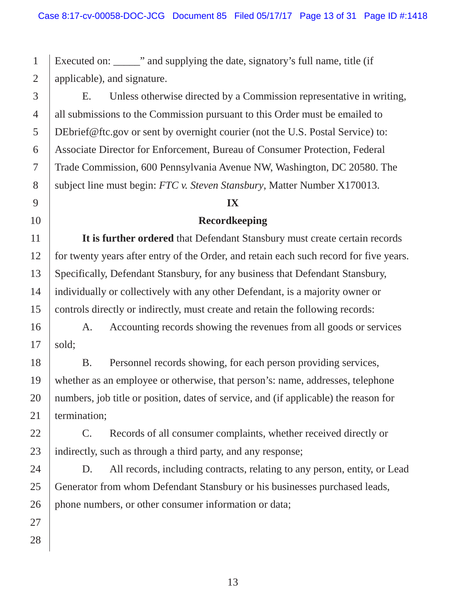1 2 Executed on: \_\_\_\_\_\_" and supplying the date, signatory's full name, title (if applicable), and signature.

E. Unless otherwise directed by a Commission representative in writing, all submissions to the Commission pursuant to this Order must be emailed to DEbrief@ftc.gov or sent by overnight courier (not the U.S. Postal Service) to: Associate Director for Enforcement, Bureau of Consumer Protection, Federal Trade Commission, 600 Pennsylvania Avenue NW, Washington, DC 20580. The subject line must begin: *FTC v. Steven Stansbury*, Matter Number X170013.

# **IX**

### **Recordkeeping**

**It is further ordered** that Defendant Stansbury must create certain records for twenty years after entry of the Order, and retain each such record for five years. Specifically, Defendant Stansbury, for any business that Defendant Stansbury, individually or collectively with any other Defendant, is a majority owner or controls directly or indirectly, must create and retain the following records:

 A. Accounting records showing the revenues from all goods or services sold;

 whether as an employee or otherwise, that person's: name, addresses, telephone B. Personnel records showing, for each person providing services, numbers, job title or position, dates of service, and (if applicable) the reason for termination;

C. Records of all consumer complaints, whether received directly or indirectly, such as through a third party, and any response;

D. All records, including contracts, relating to any person, entity, or Lead Generator from whom Defendant Stansbury or his businesses purchased leads, phone numbers, or other consumer information or data;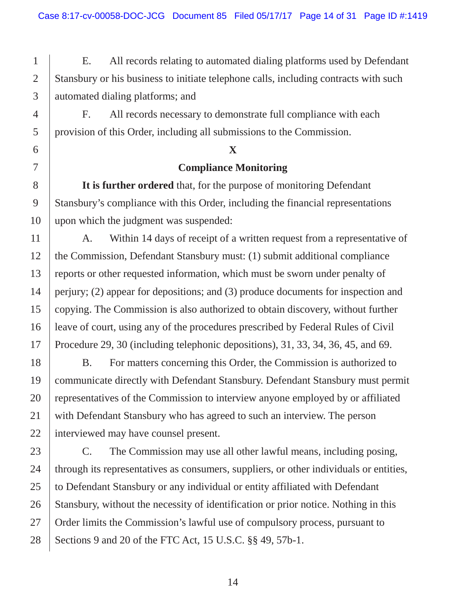E. All records relating to automated dialing platforms used by Defendant Stansbury or his business to initiate telephone calls, including contracts with such automated dialing platforms; and

 provision of this Order, including all submissions to the Commission. F. All records necessary to demonstrate full compliance with each

## **X**

## **Compliance Monitoring**

 **It is further ordered** that, for the purpose of monitoring Defendant Stansbury's compliance with this Order, including the financial representations upon which the judgment was suspended:

 Procedure 29, 30 (including telephonic depositions), 31, 33, 34, 36, 45, and 69. A. Within 14 days of receipt of a written request from a representative of the Commission, Defendant Stansbury must: (1) submit additional compliance reports or other requested information, which must be sworn under penalty of perjury; (2) appear for depositions; and (3) produce documents for inspection and copying. The Commission is also authorized to obtain discovery, without further leave of court, using any of the procedures prescribed by Federal Rules of Civil

 with Defendant Stansbury who has agreed to such an interview. The person B. For matters concerning this Order, the Commission is authorized to communicate directly with Defendant Stansbury. Defendant Stansbury must permit representatives of the Commission to interview anyone employed by or affiliated interviewed may have counsel present.

 Sections 9 and 20 of the FTC Act, 15 U.S.C. §§ 49, 57b-1. C. The Commission may use all other lawful means, including posing, through its representatives as consumers, suppliers, or other individuals or entities, to Defendant Stansbury or any individual or entity affiliated with Defendant Stansbury, without the necessity of identification or prior notice. Nothing in this Order limits the Commission's lawful use of compulsory process, pursuant to

1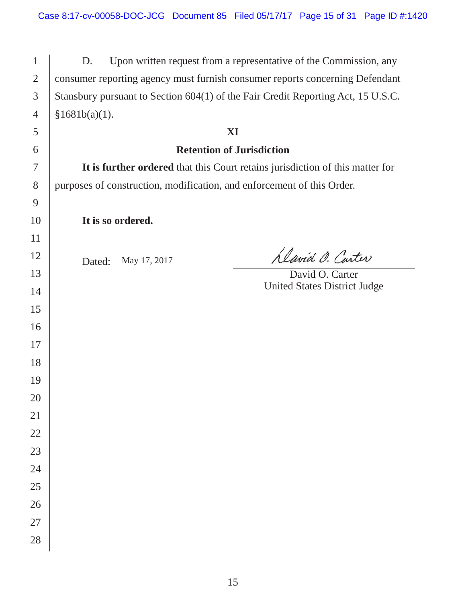Stansbury pursuant to Section 604(1) of the Fair Credit Reporting Act, 15 U.S.C. D. Upon written request from a representative of the Commission, any consumer reporting agency must furnish consumer reports concerning Defendant  $§1681b(a)(1).$ 

# **XI**

# **Retention of Jurisdiction**

**It is further ordered** that this Court retains jurisdiction of this matter for purposes of construction, modification, and enforcement of this Order.

**It is so ordered.** 

Dated: May 17, 2017

Klavid O. Carter

David O. Carter United States District Judge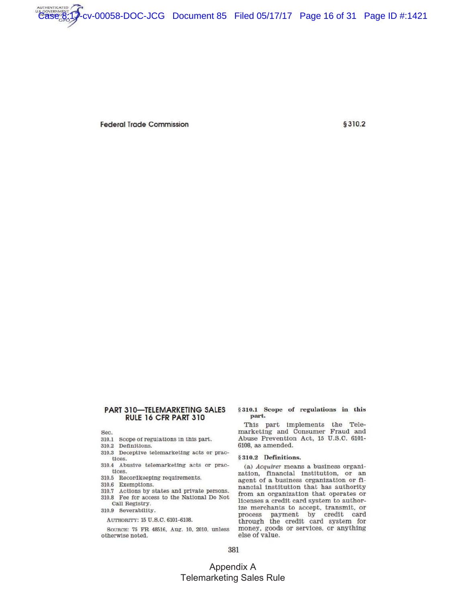

**§310.2** 

#### **PART 310-TELEMARKETING SALES RULE 16 CFR PART 310**

Sec.

310.1 Scope of regulations 1n th1s part.

310.2 Definitions.

- 310.3 Decepttve telemarketing acts or practices.
- 310.4 Abnstve telemarketing acts or practices.
- 310.5 Recordkeeping requirements.
- 310.6 Exemptions.
- 310.7 Actions by states and private persons.
- 310.8 Fee for access to the National Do Not
- Call Registry.
- 310.9 Severabll1ty.

AUTHORITY: 15 U.S.C. 6101-6108.

SoURCE: 75 FR 48516, Aug. 10, 2010, unless otberwtse noted.

#### § 310.1 Scope of regulations in this part.

This part implements the Telemarketing and Consumer Fraud and Abuse Prevention Act, 15 U.S.C. 6101- 6108, as amended.

#### § 310.2 Definitions.

(a) Acqulrer means a bustness organ1 zation, financial institution, or an agent of a bustness organtzatton or financial 1nst1tutton that bas authority from an organtzatton that operates or licenses a credit card system to authorize merchants to accept, transmit, or process payment by credit card through the credit card system for money, goods or services, or anything else of value.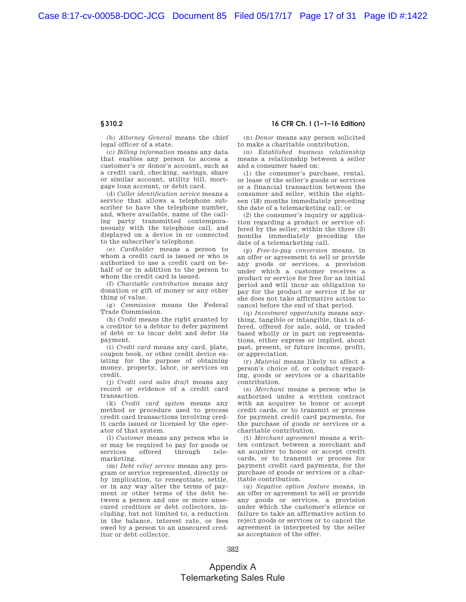(b) *Attorney General* means the chief legal officer of a state.

(c) *Billing information* means any data that enables any person to access a customer's or donor's account, such as a credit card, checking, savings, share or similar account, utility bill, mortgage loan account, or debit card.

(d) *Caller identification service* means a service that allows a telephone subscriber to have the telephone number, and, where available, name of the calling party transmitted contemporaneously with the telephone call, and displayed on a device in or connected to the subscriber's telephone.

(e) *Cardholder* means a person to whom a credit card is issued or who is authorized to use a credit card on behalf of or in addition to the person to whom the credit card is issued.

(f) *Charitable contribution* means any donation or gift of money or any other thing of value.

(g) *Commission* means the Federal Trade Commission.

(h) *Credit* means the right granted by a creditor to a debtor to defer payment of debt or to incur debt and defer its payment.

(i) *Credit card* means any card, plate, coupon book, or other credit device existing for the purpose of obtaining money, property, labor, or services on credit.

(j) *Credit card sales draft* means any record or evidence of a credit card transaction.

(k) *Credit card system* means any method or procedure used to process credit card transactions involving credit cards issued or licensed by the operator of that system.

(l) *Customer* means any person who is or may be required to pay for goods or<br>services offered through teleoffered marketing.

(m) *Debt relief service* means any program or service represented, directly or by implication, to renegotiate, settle, or in any way alter the terms of payment or other terms of the debt between a person and one or more unsecured creditors or debt collectors, including, but not limited to, a reduction in the balance, interest rate, or fees owed by a person to an unsecured creditor or debt collector.

#### **16 CFR Ch. I (1–1–16 Edition)**

(n) *Donor* means any person solicited to make a charitable contribution.

(o) *Established business relationship*  means a relationship between a seller and a consumer based on:

(1) the consumer's purchase, rental, or lease of the seller's goods or services or a financial transaction between the consumer and seller, within the eighteen (18) months immediately preceding the date of a telemarketing call; or

(2) the consumer's inquiry or application regarding a product or service offered by the seller, within the three (3) months immediately preceding the date of a telemarketing call.

(p) *Free-to-pay conversion* means, in an offer or agreement to sell or provide any goods or services, a provision under which a customer receives a product or service for free for an initial period and will incur an obligation to pay for the product or service if he or she does not take affirmative action to cancel before the end of that period.

(q) *Investment opportunity* means anything, tangible or intangible, that is offered, offered for sale, sold, or traded based wholly or in part on representations, either express or implied, about past, present, or future income, profit, or appreciation.

(r) *Material* means likely to affect a person's choice of, or conduct regarding, goods or services or a charitable contribution.

(s) *Merchant* means a person who is authorized under a written contract with an acquirer to honor or accept credit cards, or to transmit or process for payment credit card payments, for the purchase of goods or services or a charitable contribution.

(t) *Merchant agreement* means a written contract between a merchant and an acquirer to honor or accept credit cards, or to transmit or process for payment credit card payments, for the purchase of goods or services or a charitable contribution.

(u) *Negative option feature* means, in an offer or agreement to sell or provide any goods or services, a provision under which the customer's silence or failure to take an affirmative action to reject goods or services or to cancel the agreement is interpreted by the seller as acceptance of the offer.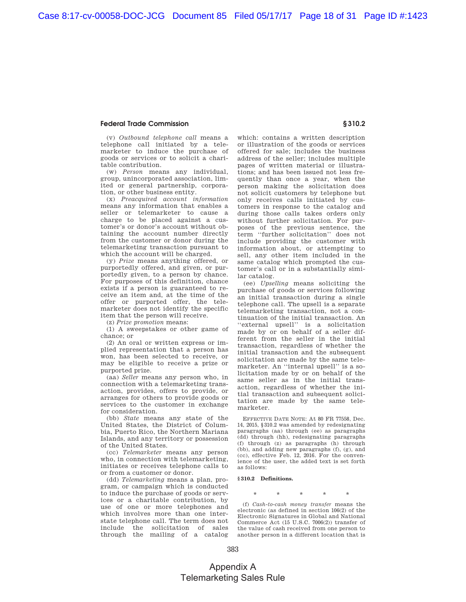(v) *Outbound telephone call* means a telephone call initiated by a telemarketer to induce the purchase of goods or services or to solicit a charitable contribution.

(w) *Person* means any individual, group, unincorporated association, limited or general partnership, corporation, or other business entity.

(x) *Preacquired account information*  means any information that enables a seller or telemarketer to cause a charge to be placed against a customer's or donor's account without obtaining the account number directly from the customer or donor during the telemarketing transaction pursuant to which the account will be charged.

(y) *Prize* means anything offered, or purportedly offered, and given, or purportedly given, to a person by chance. For purposes of this definition, chance exists if a person is guaranteed to receive an item and, at the time of the offer or purported offer, the telemarketer does not identify the specific item that the person will receive.

(z) *Prize promotion* means:

(1) A sweepstakes or other game of chance; or

(2) An oral or written express or implied representation that a person has won, has been selected to receive, or may be eligible to receive a prize or purported prize.

(aa) *Seller* means any person who, in connection with a telemarketing transaction, provides, offers to provide, or arranges for others to provide goods or services to the customer in exchange for consideration.

(bb) *State* means any state of the United States, the District of Columbia, Puerto Rico, the Northern Mariana Islands, and any territory or possession of the United States.

(cc) *Telemarketer* means any person who, in connection with telemarketing, initiates or receives telephone calls to or from a customer or donor.

(dd) *Telemarketing* means a plan, program, or campaign which is conducted to induce the purchase of goods or services or a charitable contribution, by use of one or more telephones and which involves more than one interstate telephone call. The term does not include the solicitation of sales through the mailing of a catalog

which: contains a written description or illustration of the goods or services offered for sale; includes the business address of the seller; includes multiple pages of written material or illustrations; and has been issued not less frequently than once a year, when the person making the solicitation does not solicit customers by telephone but only receives calls initiated by customers in response to the catalog and during those calls takes orders only without further solicitation. For purposes of the previous sentence, the term ''further solicitation'' does not include providing the customer with information about, or attempting to sell, any other item included in the same catalog which prompted the customer's call or in a substantially similar catalog.

(ee) *Upselling* means soliciting the purchase of goods or services following an initial transaction during a single telephone call. The upsell is a separate telemarketing transaction, not a continuation of the initial transaction. An ''external upsell'' is a solicitation made by or on behalf of a seller different from the seller in the initial transaction, regardless of whether the initial transaction and the subsequent solicitation are made by the same telemarketer. An ''internal upsell'' is a solicitation made by or on behalf of the same seller as in the initial transaction, regardless of whether the initial transaction and subsequent solicitation are made by the same telemarketer.

EFFECTIVE DATE NOTE: At 80 FR 77558, Dec. 14, 2015, §310.2 was amended by redesignating paragraphs (aa) through (ee) as paragraphs (dd) through (hh), redesignating paragraphs (f) through (z) as paragraphs (h) through (bb), and adding new paragraphs (f), (g), and (cc), effective Feb. 12, 2016. For the convenience of the user, the added text is set forth as follows:

#### **§ 310.2 Definitions.**

#### \* \* \* \* \*

(f) *Cash-to-cash money transfer* means the electronic (as defined in section 106(2) of the Electronic Signatures in Global and National Commerce Act (15 U.S.C. 7006(2)) transfer of the value of cash received from one person to another person in a different location that is

### **§ 310.2**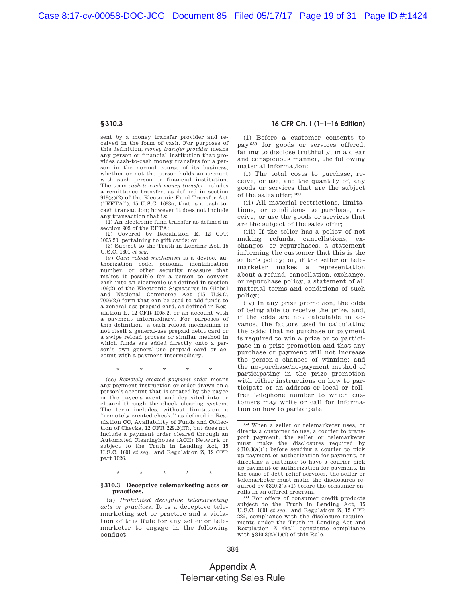sent by a money transfer provider and received in the form of cash. For purposes of this definition, *money transfer provider* means any person or financial institution that provides cash-to-cash money transfers for a person in the normal course of its business, whether or not the person holds an account with such person or financial institution. The term *cash-to-cash money transfer* includes a remittance transfer, as defined in section  $919(g)(2)$  of the Electronic Fund Transfer Act (''EFTA''), 15 U.S.C. 1693a, that is a cash-tocash transaction; however it does not include any transaction that is:

(1) An electronic fund transfer as defined in section 903 of the EFTA;

(2) Covered by Regulation E, 12 CFR 1005.20, pertaining to gift cards; or

(3) Subject to the Truth in Lending Act, 15 U.S.C. 1601 *et seq.* 

(g) *Cash reload mechanism* is a device, authorization code, personal identification number, or other security measure that makes it possible for a person to convert cash into an electronic (as defined in section 106(2) of the Electronic Signatures in Global and National Commerce Act (15 U.S.C. 7006(2)) form that can be used to add funds to a general-use prepaid card, as defined in Regulation E, 12 CFR 1005.2, or an account with a payment intermediary. For purposes of this definition, a cash reload mechanism is not itself a general-use prepaid debit card or a swipe reload process or similar method in which funds are added directly onto a person's own general-use prepaid card or account with a payment intermediary.

\* \* \* \* \*

(cc) *Remotely created payment order* means any payment instruction or order drawn on a person's account that is created by the payee or the payee's agent and deposited into or cleared through the check clearing system. The term includes, without limitation, a ''remotely created check,'' as defined in Regulation CC, Availability of Funds and Collection of Checks, 12 CFR 229.2(fff), but does not include a payment order cleared through an Automated Clearinghouse (ACH) Network or subject to the Truth in Lending Act, 15 U.S.C. 1601 *et seq.,* and Regulation Z, 12 CFR part 1026.

\* \* \* \* \*

#### **§ 310.3 Deceptive telemarketing acts or practices.**

(a) *Prohibited deceptive telemarketing acts or practices.* It is a deceptive telemarketing act or practice and a violation of this Rule for any seller or telemarketer to engage in the following conduct:

#### **16 CFR Ch. I (1–1–16 Edition)**

(1) Before a customer consents to pay 659 for goods or services offered, failing to disclose truthfully, in a clear and conspicuous manner, the following material information:

(i) The total costs to purchase, receive, or use, and the quantity of, any goods or services that are the subject of the sales offer; 660

(ii) All material restrictions, limitations, or conditions to purchase, receive, or use the goods or services that are the subject of the sales offer;

(iii) If the seller has a policy of not making refunds, cancellations, exchanges, or repurchases, a statement informing the customer that this is the seller's policy; or, if the seller or telemarketer makes a representation about a refund, cancellation, exchange, or repurchase policy, a statement of all material terms and conditions of such policy;

(iv) In any prize promotion, the odds of being able to receive the prize, and, if the odds are not calculable in advance, the factors used in calculating the odds; that no purchase or payment is required to win a prize or to participate in a prize promotion and that any purchase or payment will not increase the person's chances of winning; and the no-purchase/no-payment method of participating in the prize promotion with either instructions on how to participate or an address or local or tollfree telephone number to which customers may write or call for information on how to participate;

<sup>659</sup> When a seller or telemarketer uses, or directs a customer to use, a courier to transport payment, the seller or telemarketer must make the disclosures required by § 310.3(a)(1) before sending a courier to pick up payment or authorization for payment, or directing a customer to have a courier pick up payment or authorization for payment. In the case of debt relief services, the seller or telemarketer must make the disclosures required by  $$310.3(a)(1)$  before the consumer enrolls in an offered program. 660 For offers of consumer credit products

subject to the Truth in Lending Act, 15 U.S.C. 1601 *et seq.,* and Regulation Z, 12 CFR 226, compliance with the disclosure requirements under the Truth in Lending Act and Regulation Z shall constitute compliance with  $§310.3(a)(1)(i)$  of this Rule.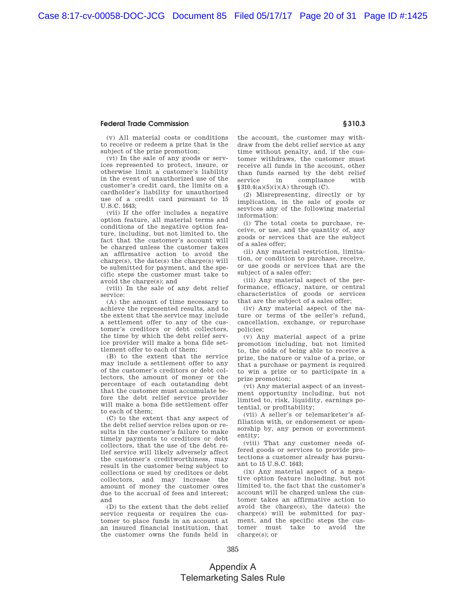(v) All material costs or conditions to receive or redeem a prize that is the subject of the prize promotion;

(vi) In the sale of any goods or services represented to protect, insure, or otherwise limit a customer's liability in the event of unauthorized use of the customer's credit card, the limits on a cardholder's liability for unauthorized use of a credit card pursuant to 15 U.S.C. 1643;

(vii) If the offer includes a negative option feature, all material terms and conditions of the negative option feature, including, but not limited to, the fact that the customer's account will be charged unless the customer takes an affirmative action to avoid the  $charge(s)$ , the date(s) the charge(s) will be submitted for payment, and the specific steps the customer must take to avoid the charge(s); and

(viii) In the sale of any debt relief service:

(A) the amount of time necessary to achieve the represented results, and to the extent that the service may include a settlement offer to any of the customer's creditors or debt collectors, the time by which the debt relief service provider will make a bona fide settlement offer to each of them;

(B) to the extent that the service may include a settlement offer to any of the customer's creditors or debt collectors, the amount of money or the percentage of each outstanding debt that the customer must accumulate before the debt relief service provider will make a bona fide settlement offer to each of them;

(C) to the extent that any aspect of the debt relief service relies upon or results in the customer's failure to make timely payments to creditors or debt collectors, that the use of the debt relief service will likely adversely affect the customer's creditworthiness, may result in the customer being subject to collections or sued by creditors or debt collectors, and may increase the amount of money the customer owes due to the accrual of fees and interest; and

(D) to the extent that the debt relief service requests or requires the customer to place funds in an account at an insured financial institution, that the customer owns the funds held in

the account, the customer may withdraw from the debt relief service at any time without penalty, and, if the customer withdraws, the customer must receive all funds in the account, other than funds earned by the debt relief service in compliance with  $§ 310.4(a)(5)(i)(A)$  through (C).

(2) Misrepresenting, directly or by implication, in the sale of goods or services any of the following material information:

(i) The total costs to purchase, receive, or use, and the quantity of, any goods or services that are the subject of a sales offer;

(ii) Any material restriction, limitation, or condition to purchase, receive, or use goods or services that are the subject of a sales offer;

(iii) Any material aspect of the performance, efficacy, nature, or central characteristics of goods or services that are the subject of a sales offer;

(iv) Any material aspect of the nature or terms of the seller's refund, cancellation, exchange, or repurchase policies;

(v) Any material aspect of a prize promotion including, but not limited to, the odds of being able to receive a prize, the nature or value of a prize, or that a purchase or payment is required to win a prize or to participate in a prize promotion;

(vi) Any material aspect of an investment opportunity including, but not limited to, risk, liquidity, earnings potential, or profitability;

(vii) A seller's or telemarketer's affiliation with, or endorsement or sponsorship by, any person or government entity;

(viii) That any customer needs offered goods or services to provide protections a customer already has pursuant to 15 U.S.C. 1643;

(ix) Any material aspect of a negative option feature including, but not limited to, the fact that the customer's account will be charged unless the customer takes an affirmative action to avoid the charge(s), the date(s) the charge(s) will be submitted for payment, and the specific steps the customer must take to avoid the charge(s); or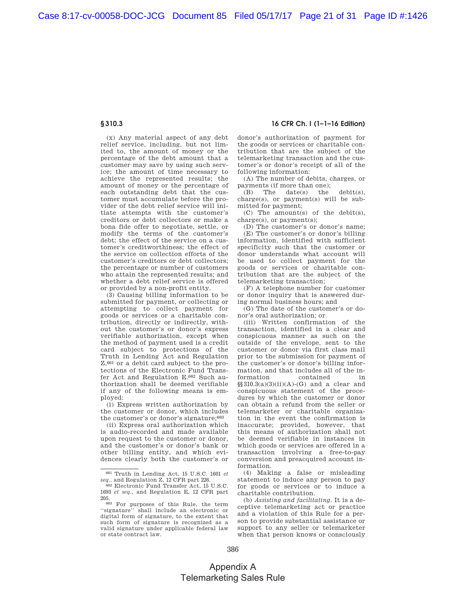(x) Any material aspect of any debt relief service, including, but not limited to, the amount of money or the percentage of the debt amount that a customer may save by using such service; the amount of time necessary to achieve the represented results; the amount of money or the percentage of each outstanding debt that the customer must accumulate before the provider of the debt relief service will initiate attempts with the customer's creditors or debt collectors or make a bona fide offer to negotiate, settle, or modify the terms of the customer's debt; the effect of the service on a customer's creditworthiness; the effect of the service on collection efforts of the customer's creditors or debt collectors; the percentage or number of customers who attain the represented results; and whether a debt relief service is offered or provided by a non-profit entity.

(3) Causing billing information to be submitted for payment, or collecting or attempting to collect payment for goods or services or a charitable contribution, directly or indirectly, without the customer's or donor's express verifiable authorization, except when the method of payment used is a credit card subject to protections of the Truth in Lending Act and Regulation Z,661 or a debit card subject to the protections of the Electronic Fund Transfer Act and Regulation E.662 Such authorization shall be deemed verifiable if any of the following means is employed:

(i) Express written authorization by the customer or donor, which includes the customer's or donor's signature;663

(ii) Express oral authorization which is audio-recorded and made available upon request to the customer or donor, and the customer's or donor's bank or other billing entity, and which evidences clearly both the customer's or

#### **16 CFR Ch. I (1–1–16 Edition)**

donor's authorization of payment for the goods or services or charitable contribution that are the subject of the telemarketing transaction and the customer's or donor's receipt of all of the following information:

(A) The number of debits, charges, or

payments (if more than one);<br>(B) The date(s) the (B) The date(s) the debit(s), charge(s), or payment(s) will be submitted for payment;

(C) The amount(s) of the debit(s), charge(s), or payment(s);

(D) The customer's or donor's name; (E) The customer's or donor's billing information, identified with sufficient specificity such that the customer or donor understands what account will be used to collect payment for the goods or services or charitable contribution that are the subject of the telemarketing transaction;

(F) A telephone number for customer or donor inquiry that is answered during normal business hours; and

(G) The date of the customer's or donor's oral authorization; or

(iii) Written confirmation of the transaction, identified in a clear and conspicuous manner as such on the outside of the envelope, sent to the customer or donor via first class mail prior to the submission for payment of the customer's or donor's billing information, and that includes all of the information contained  $\S$ §310.3(a)(3)(ii)(A)-(G) and a clear and conspicuous statement of the procedures by which the customer or donor can obtain a refund from the seller or telemarketer or charitable organization in the event the confirmation is inaccurate; provided, however, that this means of authorization shall not be deemed verifiable in instances in which goods or services are offered in a transaction involving a free-to-pay conversion and preacquired account information.

(4) Making a false or misleading statement to induce any person to pay for goods or services or to induce a charitable contribution.

(b) *Assisting and facilitating.* It is a deceptive telemarketing act or practice and a violation of this Rule for a person to provide substantial assistance or support to any seller or telemarketer when that person knows or consciously

 $661$  Truth in Lending Act, 15 U.S.C. 1601 *et seq.*, and Regulation Z, 12 CFR part 226.

 $662$  Electronic Fund Transfer Act, 15 U.S.C. 1693 *et seq.,* and Regulation E, 12 CFR part

 $663$  For purposes of this Rule, the term ''signature'' shall include an electronic or digital form of signature, to the extent that such form of signature is recognized as a valid signature under applicable federal law or state contract law.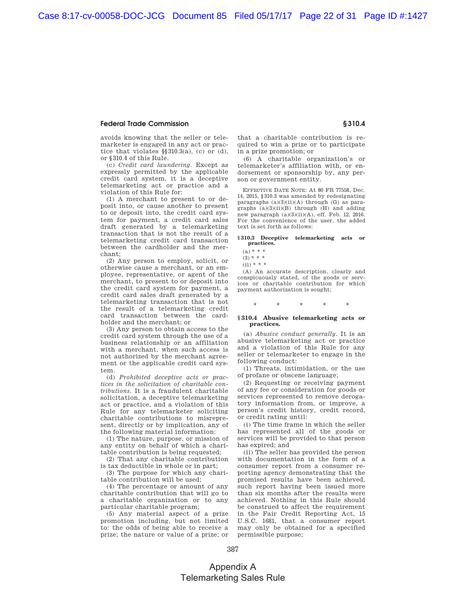avoids knowing that the seller or telemarketer is engaged in any act or practice that violates  $\S$ 310.3(a), (c) or (d), or § 310.4 of this Rule.

(c) *Credit card laundering.* Except as expressly permitted by the applicable credit card system, it is a deceptive telemarketing act or practice and a violation of this Rule for:

(1) A merchant to present to or deposit into, or cause another to present to or deposit into, the credit card system for payment, a credit card sales draft generated by a telemarketing transaction that is not the result of a telemarketing credit card transaction between the cardholder and the merchant;

(2) Any person to employ, solicit, or otherwise cause a merchant, or an employee, representative, or agent of the merchant, to present to or deposit into the credit card system for payment, a credit card sales draft generated by a telemarketing transaction that is not the result of a telemarketing credit card transaction between the cardholder and the merchant; or

(3) Any person to obtain access to the credit card system through the use of a business relationship or an affiliation with a merchant, when such access is not authorized by the merchant agreement or the applicable credit card system.

(d) *Prohibited deceptive acts or practices in the solicitation of charitable contributions.* It is a fraudulent charitable solicitation, a deceptive telemarketing act or practice, and a violation of this Rule for any telemarketer soliciting charitable contributions to misrepresent, directly or by implication, any of the following material information:

(1) The nature, purpose, or mission of any entity on behalf of which a charitable contribution is being requested;

(2) That any charitable contribution is tax deductible in whole or in part;

(3) The purpose for which any charitable contribution will be used;

(4) The percentage or amount of any charitable contribution that will go to a charitable organization or to any particular charitable program;

(5) Any material aspect of a prize promotion including, but not limited to: the odds of being able to receive a prize; the nature or value of a prize; or that a charitable contribution is required to win a prize or to participate in a prize promotion; or

**§ 310.4** 

(6) A charitable organization's or telemarketer's affiliation with, or endorsement or sponsorship by, any person or government entity.

EFFECTIVE DATE NOTE: At 80 FR 77558, Dec. 14, 2015, §310.3 was amended by redesignating paragraphs  $(a)(3)(ii)(A)$  through  $(G)$  as paragraphs (a)(3)(ii)(B) through (H) and adding new paragraph  $(a)(3)(ii)(A)$ , eff. Feb. 12, 2016. For the convenience of the user, the added text is set forth as follows:

#### **§ 310.3 Deceptive telemarketing acts or practices.**

- $(a) * * *$
- $(3) * * * *$
- $(ii) * * * *$

(A) An accurate description, clearly and conspicuously stated, of the goods or services or charitable contribution for which payment authorization is sought;

#### \* \* \* \* \*

#### **§ 310.4 Abusive telemarketing acts or practices.**

(a) *Abusive conduct generally.* It is an abusive telemarketing act or practice and a violation of this Rule for any seller or telemarketer to engage in the following conduct:

(1) Threats, intimidation, or the use of profane or obscene language;

(2) Requesting or receiving payment of any fee or consideration for goods or services represented to remove derogatory information from, or improve, a person's credit history, credit record, or credit rating until:

(i) The time frame in which the seller has represented all of the goods or services will be provided to that person has expired; and

(ii) The seller has provided the person with documentation in the form of a consumer report from a consumer reporting agency demonstrating that the promised results have been achieved, such report having been issued more than six months after the results were achieved. Nothing in this Rule should be construed to affect the requirement in the Fair Credit Reporting Act, 15 U.S.C. 1681, that a consumer report may only be obtained for a specified permissible purpose;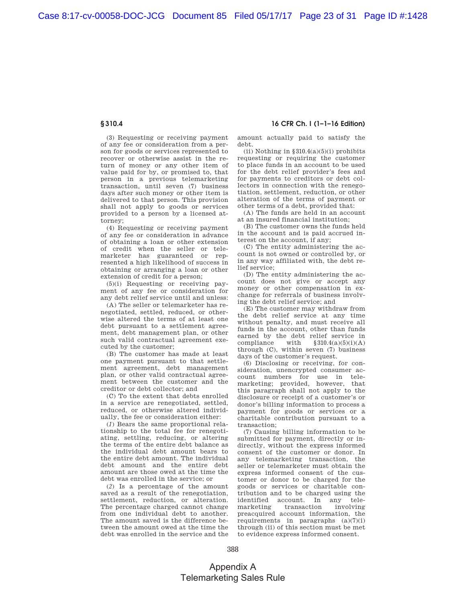**16 CFR Ch. I (1–1–16 Edition)** 

(3) Requesting or receiving payment of any fee or consideration from a person for goods or services represented to recover or otherwise assist in the return of money or any other item of value paid for by, or promised to, that person in a previous telemarketing transaction, until seven (7) business days after such money or other item is delivered to that person. This provision shall not apply to goods or services provided to a person by a licensed attorney;

(4) Requesting or receiving payment of any fee or consideration in advance of obtaining a loan or other extension of credit when the seller or telemarketer has guaranteed or represented a high likelihood of success in obtaining or arranging a loan or other extension of credit for a person;

(5)(i) Requesting or receiving payment of any fee or consideration for any debt relief service until and unless:

(A) The seller or telemarketer has renegotiated, settled, reduced, or otherwise altered the terms of at least one debt pursuant to a settlement agreement, debt management plan, or other such valid contractual agreement executed by the customer;

(B) The customer has made at least one payment pursuant to that settlement agreement, debt management plan, or other valid contractual agreement between the customer and the creditor or debt collector; and

(C) To the extent that debts enrolled in a service are renegotiated, settled, reduced, or otherwise altered individually, the fee or consideration either:

(*1*) Bears the same proportional relationship to the total fee for renegotiating, settling, reducing, or altering the terms of the entire debt balance as the individual debt amount bears to the entire debt amount. The individual debt amount and the entire debt amount are those owed at the time the debt was enrolled in the service; or

(*2*) Is a percentage of the amount saved as a result of the renegotiation, settlement, reduction, or alteration. The percentage charged cannot change from one individual debt to another. The amount saved is the difference between the amount owed at the time the debt was enrolled in the service and the

amount actually paid to satisfy the debt.

(ii) Nothing in  $§310.4(a)(5)(i)$  prohibits requesting or requiring the customer to place funds in an account to be used for the debt relief provider's fees and for payments to creditors or debt collectors in connection with the renegotiation, settlement, reduction, or other alteration of the terms of payment or other terms of a debt, provided that:

(A) The funds are held in an account at an insured financial institution;

(B) The customer owns the funds held in the account and is paid accrued interest on the account, if any;

(C) The entity administering the account is not owned or controlled by, or in any way affiliated with, the debt relief service;

(D) The entity administering the account does not give or accept any money or other compensation in exchange for referrals of business involving the debt relief service; and

(E) The customer may withdraw from the debt relief service at any time without penalty, and must receive all funds in the account, other than funds earned by the debt relief service in<br>compliance with  $\S 310.4(a)(5)(i)(A)$ compliance with  $§ 310.4(a)(5)(i)(A)$ through (C), within seven (7) business days of the customer's request.

(6) Disclosing or receiving, for consideration, unencrypted consumer account numbers for use in telemarketing; provided, however, that this paragraph shall not apply to the disclosure or receipt of a customer's or donor's billing information to process a payment for goods or services or a charitable contribution pursuant to a transaction;

(7) Causing billing information to be submitted for payment, directly or indirectly, without the express informed consent of the customer or donor. In any telemarketing transaction, the seller or telemarketer must obtain the express informed consent of the customer or donor to be charged for the goods or services or charitable contribution and to be charged using the identified account. In any telemarketing transaction involving preacquired account information, the requirements in paragraphs (a)(7)(i) through (ii) of this section must be met to evidence express informed consent.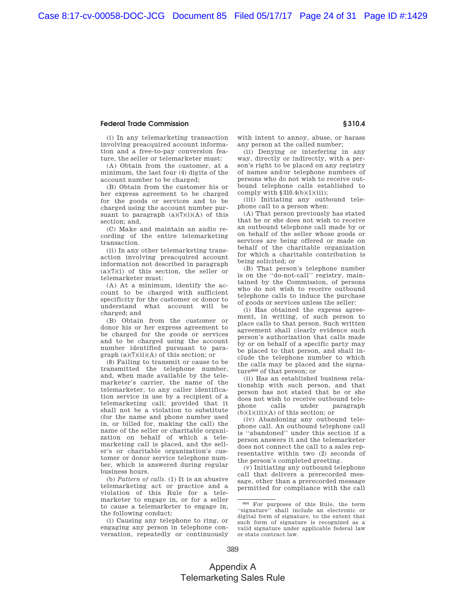(i) In any telemarketing transaction involving preacquired account information and a free-to-pay conversion feature, the seller or telemarketer must:

(A) Obtain from the customer, at a minimum, the last four (4) digits of the account number to be charged;

(B) Obtain from the customer his or her express agreement to be charged for the goods or services and to be charged using the account number pursuant to paragraph  $(a)(7)(i)(A)$  of this section; and,

(C) Make and maintain an audio recording of the entire telemarketing transaction.

(ii) In any other telemarketing transaction involving preacquired account information not described in paragraph (a)(7)(i) of this section, the seller or telemarketer must:

(A) At a minimum, identify the account to be charged with sufficient specificity for the customer or donor to understand what account will be charged; and

(B) Obtain from the customer or donor his or her express agreement to be charged for the goods or services and to be charged using the account number identified pursuant to para $graph (a)(7)(ii)(A)$  of this section; or

(8) Failing to transmit or cause to be transmitted the telephone number, and, when made available by the telemarketer's carrier, the name of the telemarketer, to any caller identification service in use by a recipient of a telemarketing call; provided that it shall not be a violation to substitute (for the name and phone number used in, or billed for, making the call) the name of the seller or charitable organization on behalf of which a telemarketing call is placed, and the seller's or charitable organization's customer or donor service telephone number, which is answered during regular business hours.

(b) *Pattern of calls.* (1) It is an abusive telemarketing act or practice and a violation of this Rule for a telemarketer to engage in, or for a seller to cause a telemarketer to engage in, the following conduct:

(i) Causing any telephone to ring, or engaging any person in telephone conversation, repeatedly or continuously with intent to annoy, abuse, or harass any person at the called number;

(ii) Denying or interfering in any way, directly or indirectly, with a person's right to be placed on any registry of names and/or telephone numbers of persons who do not wish to receive outbound telephone calls established to comply with  $§310.4(b)(1)(iii);$ 

(iii) Initiating any outbound telephone call to a person when:

(A) That person previously has stated that he or she does not wish to receive an outbound telephone call made by or on behalf of the seller whose goods or services are being offered or made on behalf of the charitable organization for which a charitable contribution is being solicited; or

(B) That person's telephone number is on the ''do-not-call'' registry, maintained by the Commission, of persons who do not wish to receive outbound telephone calls to induce the purchase of goods or services unless the seller:

(i) Has obtained the express agreement, in writing, of such person to place calls to that person. Such written agreement shall clearly evidence such person's authorization that calls made by or on behalf of a specific party may be placed to that person, and shall include the telephone number to which the calls may be placed and the signature664 of that person; or

(ii) Has an established business relationship with such person, and that person has not stated that he or she does not wish to receive outbound tele-<br>
phone calls under paragraph paragraph  $(b)(1)(iii)(A)$  of this section; or

(iv) Abandoning any outbound telephone call. An outbound telephone call is ''abandoned'' under this section if a person answers it and the telemarketer does not connect the call to a sales representative within two (2) seconds of the person's completed greeting.

(v) Initiating any outbound telephone call that delivers a prerecorded message, other than a prerecorded message permitted for compliance with the call

**§ 310.4** 

<sup>664</sup> For purposes of this Rule, the term 'signature'' shall include an electronic or digital form of signature, to the extent that such form of signature is recognized as a valid signature under applicable federal law or state contract law.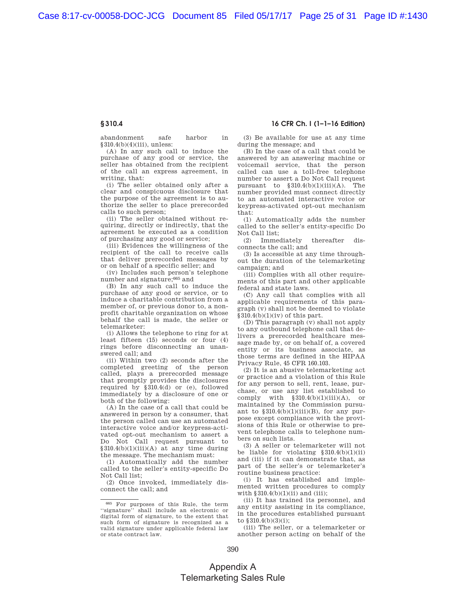abandonment safe harbor in § 310.4(b)(4)(iii), unless:

(A) In any such call to induce the purchase of any good or service, the seller has obtained from the recipient of the call an express agreement, in writing, that:

(i) The seller obtained only after a clear and conspicuous disclosure that the purpose of the agreement is to authorize the seller to place prerecorded calls to such person;

(ii) The seller obtained without requiring, directly or indirectly, that the agreement be executed as a condition of purchasing any good or service;

(iii) Evidences the willingness of the recipient of the call to receive calls that deliver prerecorded messages by or on behalf of a specific seller; and

(iv) Includes such person's telephone number and signature;665 and

(B) In any such call to induce the purchase of any good or service, or to induce a charitable contribution from a member of, or previous donor to, a nonprofit charitable organization on whose behalf the call is made, the seller or telemarketer:

(i) Allows the telephone to ring for at least fifteen (15) seconds or four (4) rings before disconnecting an unanswered call; and

(ii) Within two (2) seconds after the completed greeting of the person called, plays a prerecorded message that promptly provides the disclosures required by § 310.4(d) or (e), followed immediately by a disclosure of one or both of the following:

(A) In the case of a call that could be answered in person by a consumer, that the person called can use an automated interactive voice and/or keypress-activated opt-out mechanism to assert a Do Not Call request pursuant to  $§310.4(b)(1)(iii)(A)$  at any time during the message. The mechanism must:

(1) Automatically add the number called to the seller's entity-specific Do Not Call list;

(2) Once invoked, immediately disconnect the call; and

(3) Be available for use at any time during the message; and

**16 CFR Ch. I (1–1–16 Edition)** 

(B) In the case of a call that could be answered by an answering machine or voicemail service, that the person called can use a toll-free telephone number to assert a Do Not Call request pursuant to  $$310.4(b)(1)(iii)(A)$ . The number provided must connect directly to an automated interactive voice or keypress-activated opt-out mechanism that:

(1) Automatically adds the number called to the seller's entity-specific Do Not Call list;

(2) Immediately thereafter disconnects the call; and

(3) Is accessible at any time throughout the duration of the telemarketing campaign; and

(iii) Complies with all other requirements of this part and other applicable federal and state laws.

(C) Any call that complies with all applicable requirements of this paragraph (v) shall not be deemed to violate  $§ 310.4(b)(1)(iv)$  of this part.

(D) This paragraph (v) shall not apply to any outbound telephone call that delivers a prerecorded healthcare message made by, or on behalf of, a covered entity or its business associate, as those terms are defined in the HIPAA Privacy Rule, 45 CFR 160.103.

(2) It is an abusive telemarketing act or practice and a violation of this Rule for any person to sell, rent, lease, purchase, or use any list established to comply with  $§ 310.4(b)(1)(iii)(A)$ , or maintained by the Commission pursuant to  $$310.4(b)(1)(iii)(B)$ , for any purpose except compliance with the provisions of this Rule or otherwise to prevent telephone calls to telephone numbers on such lists.

(3) A seller or telemarketer will not be liable for violating  $$310.4(b)(1)(ii)$ and (iii) if it can demonstrate that, as part of the seller's or telemarketer's routine business practice:

(i) It has established and implemented written procedures to comply with  $$310.4(b)(1)(ii)$  and (iii);

(ii) It has trained its personnel, and any entity assisting in its compliance, in the procedures established pursuant to  $$310.4(b)(3)(i)$ ;

(iii) The seller, or a telemarketer or another person acting on behalf of the

<sup>665</sup> For purposes of this Rule, the term ''signature'' shall include an electronic or digital form of signature, to the extent that such form of signature is recognized as a valid signature under applicable federal law or state contract law.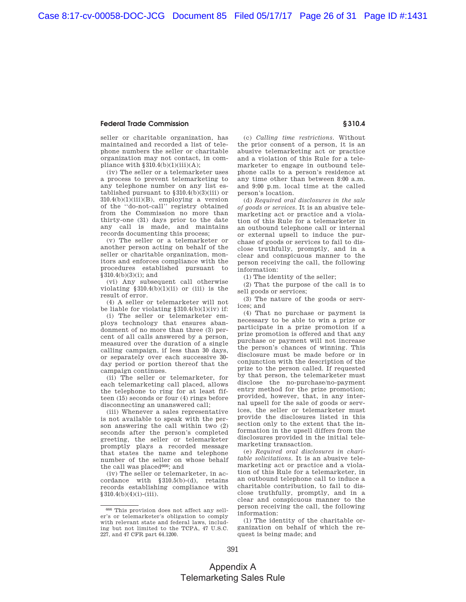seller or charitable organization, has maintained and recorded a list of telephone numbers the seller or charitable organization may not contact, in compliance with  $§310.4(b)(1)(iii)(A);$ 

(iv) The seller or a telemarketer uses a process to prevent telemarketing to any telephone number on any list established pursuant to  $§310.4(b)(3)(iii)$  or  $310.4(b)(1)(iii)(B)$ , employing a version of the ''do-not-call'' registry obtained from the Commission no more than thirty-one (31) days prior to the date any call is made, and maintains records documenting this process;

(v) The seller or a telemarketer or another person acting on behalf of the seller or charitable organization, monitors and enforces compliance with the procedures established pursuant to § 310.4(b)(3)(i); and

(vi) Any subsequent call otherwise violating  $$310.4(b)(1)(ii)$  or (iii) is the result of error.

(4) A seller or telemarketer will not be liable for violating  $§ 310.4(b)(1)(iv)$  if:

(i) The seller or telemarketer employs technology that ensures abandonment of no more than three (3) percent of all calls answered by a person, measured over the duration of a single calling campaign, if less than 30 days, or separately over each successive 30 day period or portion thereof that the campaign continues.

(ii) The seller or telemarketer, for each telemarketing call placed, allows the telephone to ring for at least fifteen (15) seconds or four (4) rings before disconnecting an unanswered call;

(iii) Whenever a sales representative is not available to speak with the person answering the call within two (2) seconds after the person's completed greeting, the seller or telemarketer promptly plays a recorded message that states the name and telephone number of the seller on whose behalf the call was placed<sup>666</sup>; and

(iv) The seller or telemarketer, in accordance with § 310.5(b)-(d), retains records establishing compliance with  $§ 310.4(b)(4)(i)-(iii).$ 

(c) *Calling time restrictions.* Without the prior consent of a person, it is an abusive telemarketing act or practice and a violation of this Rule for a telemarketer to engage in outbound telephone calls to a person's residence at any time other than between 8:00 a.m. and 9:00 p.m. local time at the called person's location.

(d) *Required oral disclosures in the sale of goods or services.* It is an abusive telemarketing act or practice and a violation of this Rule for a telemarketer in an outbound telephone call or internal or external upsell to induce the purchase of goods or services to fail to disclose truthfully, promptly, and in a clear and conspicuous manner to the person receiving the call, the following information:

(1) The identity of the seller;

(2) That the purpose of the call is to sell goods or services;

(3) The nature of the goods or services; and

(4) That no purchase or payment is necessary to be able to win a prize or participate in a prize promotion if a prize promotion is offered and that any purchase or payment will not increase the person's chances of winning. This disclosure must be made before or in conjunction with the description of the prize to the person called. If requested by that person, the telemarketer must disclose the no-purchase/no-payment entry method for the prize promotion; provided, however, that, in any internal upsell for the sale of goods or services, the seller or telemarketer must provide the disclosures listed in this section only to the extent that the information in the upsell differs from the disclosures provided in the initial telemarketing transaction.

(e) *Required oral disclosures in charitable solicitations.* It is an abusive telemarketing act or practice and a violation of this Rule for a telemarketer, in an outbound telephone call to induce a charitable contribution, to fail to disclose truthfully, promptly, and in a clear and conspicuous manner to the person receiving the call, the following information:

(1) The identity of the charitable organization on behalf of which the request is being made; and

#### **§ 310.4**

<sup>666</sup> This provision does not affect any seller's or telemarketer's obligation to comply with relevant state and federal laws, including but not limited to the TCPA, 47 U.S.C. 227, and 47 CFR part 64.1200.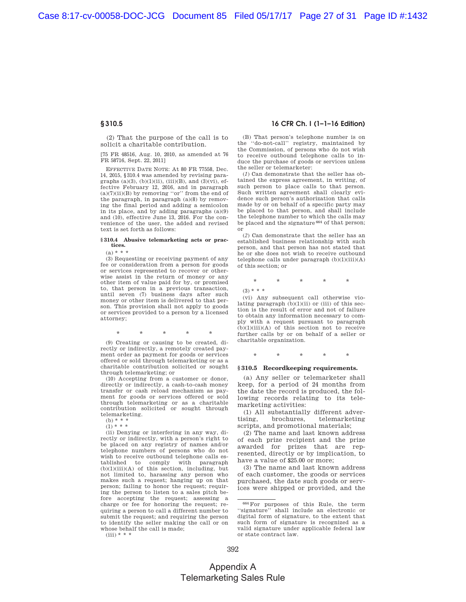(2) That the purpose of the call is to solicit a charitable contribution.

[75 FR 48516, Aug. 10, 2010, as amended at 76 FR 58716, Sept. 22, 2011]

EFFECTIVE DATE NOTE: At 80 FR 77558, Dec. 14, 2015, § 310.4 was amended by revising paragraphs (a)(3), (b)(1)(ii), (iii)(B), and (3)(vi), effective February 12, 2016, and in paragraph (a)(7)(ii)(B) by removing "or" from the end of the paragraph, in paragraph (a)(8) by removing the final period and adding a semicolon in its place, and by adding paragraphs  $(a)(9)$ and (10), effective June 13, 2016. For the convenience of the user, the added and revised text is set forth as follows:

#### **§ 310.4 Abusive telemarketing acts or practices.**

 $(a) * * * *$ 

(3) Requesting or receiving payment of any fee or consideration from a person for goods or services represented to recover or otherwise assist in the return of money or any other item of value paid for by, or promised to, that person in a previous transaction, until seven (7) business days after such money or other item is delivered to that person. This provision shall not apply to goods or services provided to a person by a licensed attorney;

\* \* \* \* \*

(9) Creating or causing to be created, directly or indirectly, a remotely created payment order as payment for goods or services offered or sold through telemarketing or as a charitable contribution solicited or sought through telemarketing; or

(10) Accepting from a customer or donor, directly or indirectly, a cash-to-cash money transfer or cash reload mechanism as payment for goods or services offered or sold through telemarketing or as a charitable contribution solicited or sought through telemarketing.<br>(b) \* \* \*

 $(b)$  \* \* \*<br>(1) \* \* \*

(ii) Denying or interfering in any way, directly or indirectly, with a person's right to be placed on any registry of names and/or telephone numbers of persons who do not wish to receive outbound telephone calls established to comply with paragraph  $(b)(1)(iii)(A)$  of this section, including, but not limited to, harassing any person who makes such a request; hanging up on that person; failing to honor the request; requiring the person to listen to a sales pitch before accepting the request; assessing a charge or fee for honoring the request; requiring a person to call a different number to submit the request; and requiring the person to identify the seller making the call or on whose behalf the call is made;

 $(iii)$  \*

### **16 CFR Ch. I (1–1–16 Edition)**

(B) That person's telephone number is on the ''do-not-call'' registry, maintained by the Commission, of persons who do not wish to receive outbound telephone calls to induce the purchase of goods or services unless the seller or telemarketer:

(*1*) Can demonstrate that the seller has obtained the express agreement, in writing, of such person to place calls to that person. Such written agreement shall clearly evidence such person's authorization that calls made by or on behalf of a specific party may be placed to that person, and shall include the telephone number to which the calls may be placed and the signature 664 of that person; or

(*2*) Can demonstrate that the seller has an established business relationship with such person, and that person has not stated that he or she does not wish to receive outbound telephone calls under paragraph  $(b)(1)(iii)(A)$ of this section; or

\* \* \* \* \*

 $(3) * * * *$ 

(vi) Any subsequent call otherwise violating paragraph (b)(1)(ii) or (iii) of this section is the result of error and not of failure to obtain any information necessary to comply with a request pursuant to paragraph  $(b)(1)(iii)(A)$  of this section not to receive further calls by or on behalf of a seller or charitable organization.

\* \* \* \* \*

#### **§ 310.5 Recordkeeping requirements.**

(a) Any seller or telemarketer shall keep, for a period of 24 months from the date the record is produced, the following records relating to its telemarketing activities:

(1) All substantially different advertising, brochures, telemarketing scripts, and promotional materials;

(2) The name and last known address of each prize recipient and the prize awarded for prizes that are represented, directly or by implication, to have a value of \$25.00 or more;

(3) The name and last known address of each customer, the goods or services purchased, the date such goods or services were shipped or provided, and the

<sup>664</sup> For purposes of this Rule, the term 'signature'' shall include an electronic or digital form of signature, to the extent that such form of signature is recognized as a valid signature under applicable federal law or state contract law.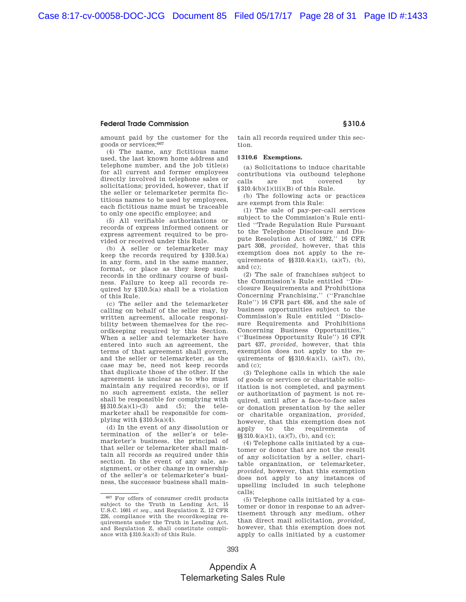amount paid by the customer for the goods or services;667

(4) The name, any fictitious name used, the last known home address and telephone number, and the job title(s) for all current and former employees directly involved in telephone sales or solicitations; provided, however, that if the seller or telemarketer permits fictitious names to be used by employees, each fictitious name must be traceable to only one specific employee; and

(5) All verifiable authorizations or records of express informed consent or express agreement required to be provided or received under this Rule.

(b) A seller or telemarketer may keep the records required by  $§310.5(a)$ in any form, and in the same manner, format, or place as they keep such records in the ordinary course of business. Failure to keep all records required by § 310.5(a) shall be a violation of this Rule.

(c) The seller and the telemarketer calling on behalf of the seller may, by written agreement, allocate responsibility between themselves for the recordkeeping required by this Section. When a seller and telemarketer have entered into such an agreement, the terms of that agreement shall govern, and the seller or telemarketer, as the case may be, need not keep records that duplicate those of the other. If the agreement is unclear as to who must maintain any required record(s), or if no such agreement exists, the seller shall be responsible for complying with  $\S\$ 310.5(a)(1)-(3) and (5); the telemarketer shall be responsible for complying with  $§310.5(a)(4)$ .

(d) In the event of any dissolution or termination of the seller's or telemarketer's business, the principal of that seller or telemarketer shall maintain all records as required under this section. In the event of any sale, assignment, or other change in ownership of the seller's or telemarketer's business, the successor business shall maintain all records required under this section.

#### **§ 310.6 Exemptions.**

(a) Solicitations to induce charitable contributions via outbound telephone calls are not covered by  $§310.4(b)(1)(iii)(B)$  of this Rule.

(b) The following acts or practices are exempt from this Rule:

(1) The sale of pay-per-call services subject to the Commission's Rule entitled ''Trade Regulation Rule Pursuant to the Telephone Disclosure and Dispute Resolution Act of 1992,'' 16 CFR part 308, *provided,* however, that this exemption does not apply to the requirements of  $\S$  $310.4(a)(1)$ ,  $(a)(7)$ ,  $(b)$ , and  $(c)$ :

(2) The sale of franchises subject to the Commission's Rule entitled ''Disclosure Requirements and Prohibitions Concerning Franchising,'' (''Franchise Rule'') 16 CFR part 436, and the sale of business opportunities subject to the Commission's Rule entitled ''Disclosure Requirements and Prohibitions Concerning Business Opportunities,'' (''Business Opportunity Rule'') 16 CFR part 437, *provided,* however, that this exemption does not apply to the requirements of  $\S 310.4(a)(1)$ ,  $(a)(7)$ ,  $(b)$ , and (c);

(3) Telephone calls in which the sale of goods or services or charitable solicitation is not completed, and payment or authorization of payment is not required, until after a face-to-face sales or donation presentation by the seller or charitable organization, *provided,*  however, that this exemption does not apply to the requirements of §§ 310.4(a)(1), (a)(7), (b), and (c);

(4) Telephone calls initiated by a customer or donor that are not the result of any solicitation by a seller, charitable organization, or telemarketer, *provided,* however, that this exemption does not apply to any instances of upselling included in such telephone calls;

(5) Telephone calls initiated by a customer or donor in response to an advertisement through any medium, other than direct mail solicitation, *provided,*  however, that this exemption does not apply to calls initiated by a customer

<sup>667</sup> For offers of consumer credit products subject to the Truth in Lending Act, 15 U.S.C. 1601 *et seq.,* and Regulation Z, 12 CFR 226, compliance with the recordkeeping requirements under the Truth in Lending Act, and Regulation Z, shall constitute compliance with §310.5(a)(3) of this Rule.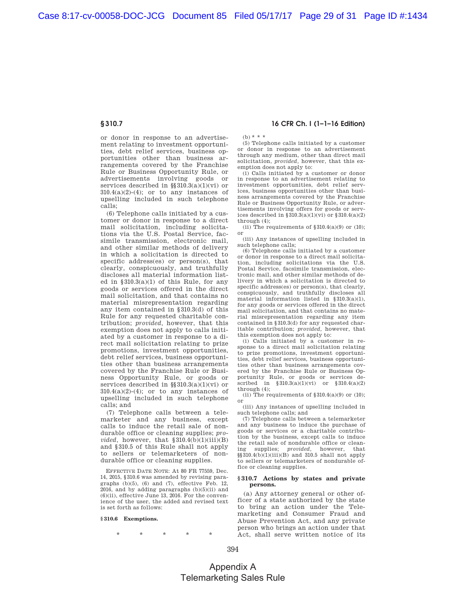or donor in response to an advertisement relating to investment opportunities, debt relief services, business opportunities other than business arrangements covered by the Franchise Rule or Business Opportunity Rule, or advertisements involving goods or services described in  $\S$ 310.3(a)(1)(vi) or  $310.4(a)(2)-(4)$ ; or to any instances of upselling included in such telephone calls;

(6) Telephone calls initiated by a customer or donor in response to a direct mail solicitation, including solicitations via the U.S. Postal Service, facsimile transmission, electronic mail, and other similar methods of delivery in which a solicitation is directed to specific address(es) or person(s), that clearly, conspicuously, and truthfully discloses all material information listed in  $§310.3(a)(1)$  of this Rule, for any goods or services offered in the direct mail solicitation, and that contains no material misrepresentation regarding any item contained in § 310.3(d) of this Rule for any requested charitable contribution; *provided,* however, that this exemption does not apply to calls initiated by a customer in response to a direct mail solicitation relating to prize promotions, investment opportunities, debt relief services, business opportunities other than business arrangements covered by the Franchise Rule or Business Opportunity Rule, or goods or services described in  $\S$  $310.3(a)(1)(vi)$  or  $310.4(a)(2)-(4)$ ; or to any instances of upselling included in such telephone calls; and

(7) Telephone calls between a telemarketer and any business, except calls to induce the retail sale of nondurable office or cleaning supplies; *pro* $vided$ , however, that  $$310.4(b)(1)(iii)(B)$ and § 310.5 of this Rule shall not apply to sellers or telemarketers of nondurable office or cleaning supplies.

EFFECTIVE DATE NOTE: At 80 FR 77559, Dec. 14, 2015, § 310.6 was amended by revising paragraphs (b)(5), (6) and (7), effective Feb. 12, 2016, and by adding paragraphs (b)(5)(ii) and  $(6)(ii)$ , effective June 13, 2016. For the convenience of the user, the added and revised text is set forth as follows:

#### **§ 310.6 Exemptions.**

\* \* \* \* \*

#### **16 CFR Ch. I (1–1–16 Edition)**

 $(b) * * * *$ 

(5) Telephone calls initiated by a customer or donor in response to an advertisement through any medium, other than direct mail solicitation, *provided,* however, that this exemption does not apply to:

(i) Calls initiated by a customer or donor in response to an advertisement relating to investment opportunities, debt relief services, business opportunities other than business arrangements covered by the Franchise Rule or Business Opportunity Rule, or advertisements involving offers for goods or services described in  $§310.3(a)(1)(vi)$  or  $§310.4(a)(2)$ through (4);

(ii) The requirements of  $§310.4(a)(9)$  or (10); or

(iii) Any instances of upselling included in such telephone calls;

(6) Telephone calls initiated by a customer or donor in response to a direct mail solicitation, including solicitations via the U.S. Postal Service, facsimile transmission, electronic mail, and other similar methods of delivery in which a solicitation is directed to specific address(es) or person(s), that clearly, conspicuously, and truthfully discloses all material information listed in §310.3(a)(1), for any goods or services offered in the direct mail solicitation, and that contains no material misrepresentation regarding any item contained in § 310.3(d) for any requested charitable contribution; *provided,* however, that this exemption does not apply to:

(i) Calls initiated by a customer in response to a direct mail solicitation relating to prize promotions, investment opportunities, debt relief services, business opportunities other than business arrangements covered by the Franchise Rule or Business Opportunity Rule, or goods or services described in  $$310.3(a)(1)(vi)$  or  $$310.4(a)(2)$ through (4);

(ii) The requirements of  $§ 310.4(a)(9)$  or (10); or

(iii) Any instances of upselling included in such telephone calls; and

(7) Telephone calls between a telemarketer and any business to induce the purchase of goods or services or a charitable contribution by the business, except calls to induce the retail sale of nondurable office or clean-<br>ing supplies; provided, however, that ing supplies; *provided,* however, that §§ 310.4(b)(1)(iii)(B) and 310.5 shall not apply to sellers or telemarketers of nondurable office or cleaning supplies.

#### **§ 310.7 Actions by states and private persons.**

(a) Any attorney general or other officer of a state authorized by the state to bring an action under the Telemarketing and Consumer Fraud and Abuse Prevention Act, and any private person who brings an action under that Act, shall serve written notice of its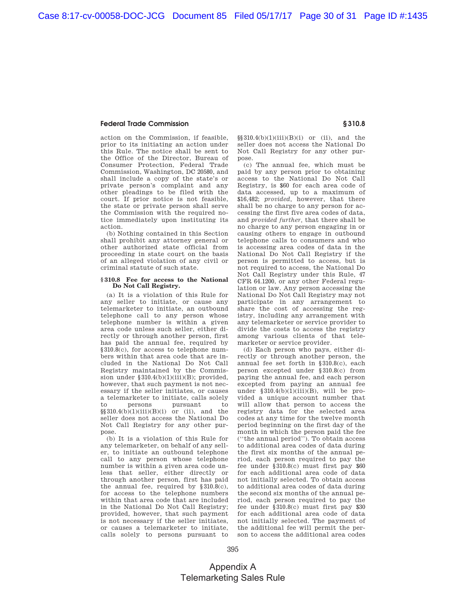action on the Commission, if feasible, prior to its initiating an action under this Rule. The notice shall be sent to the Office of the Director, Bureau of Consumer Protection, Federal Trade Commission, Washington, DC 20580, and shall include a copy of the state's or private person's complaint and any other pleadings to be filed with the court. If prior notice is not feasible, the state or private person shall serve the Commission with the required notice immediately upon instituting its action.

(b) Nothing contained in this Section shall prohibit any attorney general or other authorized state official from proceeding in state court on the basis of an alleged violation of any civil or criminal statute of such state.

#### **§ 310.8 Fee for access to the National Do Not Call Registry.**

(a) It is a violation of this Rule for any seller to initiate, or cause any telemarketer to initiate, an outbound telephone call to any person whose telephone number is within a given area code unless such seller, either directly or through another person, first has paid the annual fee, required by § 310.8(c), for access to telephone numbers within that area code that are included in the National Do Not Call Registry maintained by the Commission under  $$310.4(b)(1)(iii)(B);$  provided, however, that such payment is not necessary if the seller initiates, or causes a telemarketer to initiate, calls solely to persons pursuant to  $\S(310.4(b)(1)(iii)(B)(i)$  or (ii), and the seller does not access the National Do Not Call Registry for any other purpose.

(b) It is a violation of this Rule for any telemarketer, on behalf of any seller, to initiate an outbound telephone call to any person whose telephone number is within a given area code unless that seller, either directly or through another person, first has paid the annual fee, required by  $§ 310.8(c)$ , for access to the telephone numbers within that area code that are included in the National Do Not Call Registry; provided, however, that such payment is not necessary if the seller initiates, or causes a telemarketer to initiate, calls solely to persons pursuant to

 $\S$ §310.4(b)(1)(iii)(B)(i) or (ii), and the seller does not access the National Do Not Call Registry for any other purpose.

(c) The annual fee, which must be paid by any person prior to obtaining access to the National Do Not Call Registry, is \$60 for each area code of data accessed, up to a maximum of \$16,482; *provided,* however, that there shall be no charge to any person for accessing the first five area codes of data, and *provided further,* that there shall be no charge to any person engaging in or causing others to engage in outbound telephone calls to consumers and who is accessing area codes of data in the National Do Not Call Registry if the person is permitted to access, but is not required to access, the National Do Not Call Registry under this Rule, 47 CFR 64.1200, or any other Federal regulation or law. Any person accessing the National Do Not Call Registry may not participate in any arrangement to share the cost of accessing the registry, including any arrangement with any telemarketer or service provider to divide the costs to access the registry among various clients of that telemarketer or service provider.

(d) Each person who pays, either directly or through another person, the annual fee set forth in § 310.8(c), each person excepted under § 310.8(c) from paying the annual fee, and each person excepted from paying an annual fee under  $§310.4(b)(1)(iii)(B)$ , will be provided a unique account number that will allow that person to access the registry data for the selected area codes at any time for the twelve month period beginning on the first day of the month in which the person paid the fee (''the annual period''). To obtain access to additional area codes of data during the first six months of the annual period, each person required to pay the fee under § 310.8(c) must first pay \$60 for each additional area code of data not initially selected. To obtain access to additional area codes of data during the second six months of the annual period, each person required to pay the fee under § 310.8(c) must first pay \$30 for each additional area code of data not initially selected. The payment of the additional fee will permit the person to access the additional area codes

**§ 310.8**